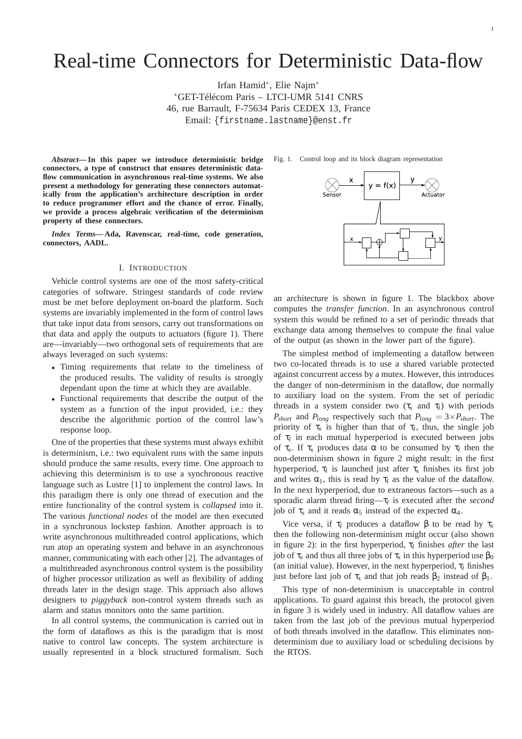# Real-time Connectors for Deterministic Data-flow

Irfan Hamid<sup>∗</sup> , Elie Najm<sup>∗</sup> <sup>∗</sup>GET-Télécom Paris – LTCI-UMR 5141 CNRS 46, rue Barrault, F-75634 Paris CEDEX 13, France Email: {firstname.lastname}@enst.fr

*Abstract***— In this paper we introduce deterministic bridge connectors, a type of construct that ensures deterministic dataflow communication in asynchronous real-time systems. We also present a methodology for generating these connectors automatically from the application's architecture description in order to reduce programmer effort and the chance of error. Finally, we provide a process algebraic verification of the determinism property of these connectors.**

*Index Terms***— Ada, Ravenscar, real-time, code generation, connectors, AADL.**

#### I. INTRODUCTION

Vehicle control systems are one of the most safety-critical categories of software. Stringest standards of code review must be met before deployment on-board the platform. Such systems are invariably implemented in the form of control laws that take input data from sensors, carry out transformations on that data and apply the outputs to actuators (figure 1). There are—invariably—two orthogonal sets of requirements that are always leveraged on such systems:

- Timing requirements that relate to the timeliness of the produced results. The validity of results is strongly dependant upon the time at which they are available.
- Functional requirements that describe the output of the system as a function of the input provided, i.e.: they describe the algorithmic portion of the control law's response loop.

One of the properties that these systems must always exhibit is determinism, i.e.: two equivalent runs with the same inputs should produce the same results, every time. One approach to achieving this determinism is to use a synchronous reactive language such as Lustre [1] to implement the control laws. In this paradigm there is only one thread of execution and the entire functionality of the control system is *collapsed* into it. The various *functional nodes* of the model are then executed in a synchronous lockstep fashion. Another approach is to write asynchronous multithreaded control applications, which run atop an operating system and behave in an asynchronous manner, communicating with each other [2]. The advantages of a multithreaded asynchronous control system is the possibility of higher processor utilization as well as flexibility of adding threads later in the design stage. This approach also allows designers to *piggyback* non-control system threads such as alarm and status monitors onto the same partition.

In all control systems, the communication is carried out in the form of dataflows as this is the paradigm that is most native to control law concepts. The system architecture is usually represented in a block structured formalism. Such



Fig. 1. Control loop and its block diagram representation

an architecture is shown in figure 1. The blackbox above computes the *transfer function*. In an asynchronous control system this would be refined to a set of periodic threads that exchange data among themselves to compute the final value of the output (as shown in the lower part of the figure).

The simplest method of implementing a dataflow between two co-located threads is to use a shared variable protected against concurrent access by a mutex. However, this introduces the danger of non-determinism in the dataflow, due normally to auxiliary load on the system. From the set of periodic threads in a system consider two  $(\tau_s$  and  $\tau_l$ ) with periods *P*<sub>short</sub> and *P*<sub>*long*</sub> respectively such that  $P_{long} = 3 \times P_{short}$ . The priority of  $\tau_s$  is higher than that of  $\tau_l$ , thus, the single job of τ*<sup>l</sup>* in each mutual hyperperiod is executed between jobs of  $\tau_s$ . If  $\tau_s$  produces data  $\alpha$  to be consumed by  $\tau_l$  then the non-determinism shown in figure 2 might result: in the first hyperperiod, τ*<sup>l</sup>* is launched just after τ*<sup>s</sup>* finishes its first job and writes  $\alpha_1$ , this is read by  $\tau_l$  as the value of the dataflow. In the next hyperperiod, due to extraneous factors—such as a sporadic alarm thread firing—τ*<sup>l</sup>* is executed after the *second* job of  $\tau_s$  and it reads  $\alpha_5$  instead of the expected  $\alpha_4$ .

Vice versa, if  $τ$ <sub>*l*</sub> produces a dataflow β to be read by  $τ_s$ then the following non-determinism might occur (also shown in figure 2): in the first hyperperiod,  $\tau_l$  finishes *after* the last  $j$ ob of τ<sub>*s*</sub> and thus all three jobs of τ<sub>*s*</sub> in this hyperperiod use  $β$ <sub>0</sub> (an initial value). However, in the next hyperperiod, τ*<sup>l</sup>* finishes just before last job of  $\tau_s$  and that job reads  $β_2$  instead of  $β_1$ .

This type of non-determinism is unacceptable in control applications. To guard against this breach, the protocol given in figure 3 is widely used in industry. All dataflow values are taken from the last job of the previous mutual hyperperiod of both threads involved in the dataflow. This eliminates nondeterminism due to auxiliary load or scheduling decisions by the RTOS.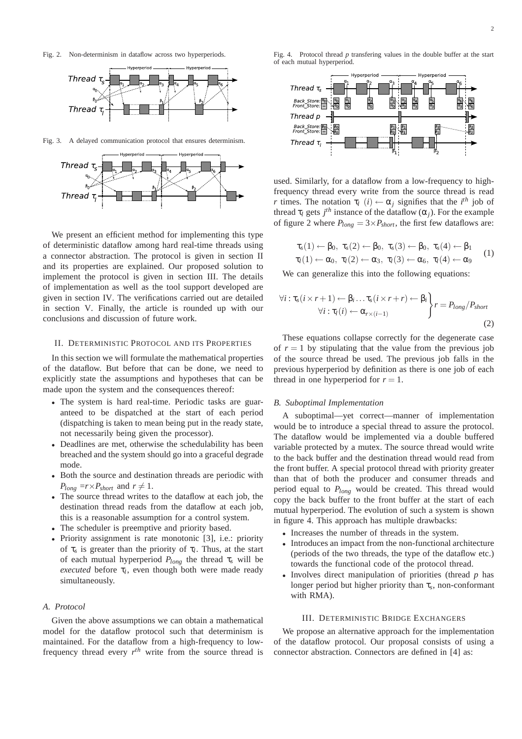Fig. 2. Non-determinism in dataflow across two hyperperiods.



Fig. 3. A delayed communication protocol that ensures determinism.



We present an efficient method for implementing this type of deterministic dataflow among hard real-time threads using a connector abstraction. The protocol is given in section II and its properties are explained. Our proposed solution to implement the protocol is given in section III. The details of implementation as well as the tool support developed are given in section IV. The verifications carried out are detailed in section V. Finally, the article is rounded up with our conclusions and discussion of future work.

#### II. DETERMINISTIC PROTOCOL AND ITS PROPERTIES

In this section we will formulate the mathematical properties of the dataflow. But before that can be done, we need to explicitly state the assumptions and hypotheses that can be made upon the system and the consequences thereof:

- The system is hard real-time. Periodic tasks are guaranteed to be dispatched at the start of each period (dispatching is taken to mean being put in the ready state, not necessarily being given the processor).
- Deadlines are met, otherwise the schedulability has been breached and the system should go into a graceful degrade mode.
- Both the source and destination threads are periodic with  $P_{long}$  =  $r \times P_{short}$  and  $r \neq 1$ .
- The source thread writes to the dataflow at each job, the destination thread reads from the dataflow at each job, this is a reasonable assumption for a control system.
- The scheduler is preemptive and priority based.
- Priority assignment is rate monotonic [3], i.e.: priority of  $\tau_s$  is greater than the priority of  $\tau_l$ . Thus, at the start of each mutual hyperperiod  $P_{long}$  the thread  $\tau_s$  will be *executed* before τ*<sup>l</sup>* , even though both were made ready simultaneously.

#### *A. Protocol*

Given the above assumptions we can obtain a mathematical model for the dataflow protocol such that determinism is maintained. For the dataflow from a high-frequency to lowfrequency thread every  $r^{th}$  write from the source thread is

Fig. 4. Protocol thread *p* transfering values in the double buffer at the start of each mutual hyperperiod.



used. Similarly, for a dataflow from a low-frequency to highfrequency thread every write from the source thread is read *r* times. The notation  $\tau_l$  (*i*)  $\leftarrow \alpha_j$  signifies that the *i*<sup>th</sup> job of thread  $\tau_l$  gets  $j^{th}$  instance of the dataflow  $(\alpha_j)$ . For the example of figure 2 where  $P_{long} = 3 \times P_{short}$ , the first few dataflows are:

$$
\tau_s(1) \leftarrow \beta_0, \ \tau_s(2) \leftarrow \beta_0, \ \tau_s(3) \leftarrow \beta_0, \ \tau_s(4) \leftarrow \beta_1 \tau_l(1) \leftarrow \alpha_0, \ \tau_l(2) \leftarrow \alpha_3, \ \tau_l(3) \leftarrow \alpha_6, \ \tau_l(4) \leftarrow \alpha_9
$$
\n(1)

We can generalize this into the following equations:

$$
\forall i: \tau_s(i \times r + 1) \leftarrow \beta_i \dots \tau_s(i \times r + r) \leftarrow \beta_i
$$
  

$$
\forall i: \tau_l(i) \leftarrow \alpha_{r \times (i-1)}
$$
  

$$
\left.\begin{array}{c} \gamma_i & \gamma_i & \gamma_i \\ \gamma_i & \gamma_i & \gamma_i \end{array}\right\}
$$
 (2)

These equations collapse correctly for the degenerate case of  $r = 1$  by stipulating that the value from the previous job of the source thread be used. The previous job falls in the previous hyperperiod by definition as there is one job of each thread in one hyperperiod for  $r = 1$ .

#### *B. Suboptimal Implementation*

A suboptimal—yet correct—manner of implementation would be to introduce a special thread to assure the protocol. The dataflow would be implemented via a double buffered variable protected by a mutex. The source thread would write to the back buffer and the destination thread would read from the front buffer. A special protocol thread with priority greater than that of both the producer and consumer threads and period equal to *Plong* would be created. This thread would copy the back buffer to the front buffer at the start of each mutual hyperperiod. The evolution of such a system is shown in figure 4. This approach has multiple drawbacks:

- Increases the number of threads in the system.
- Introduces an impact from the non-functional architecture (periods of the two threads, the type of the dataflow etc.) towards the functional code of the protocol thread.
- Involves direct manipulation of priorities (thread *p* has longer period but higher priority than τ*<sup>s</sup>* , non-conformant with RMA).

#### III. DETERMINISTIC BRIDGE EXCHANGERS

We propose an alternative approach for the implementation of the dataflow protocol. Our proposal consists of using a connector abstraction. Connectors are defined in [4] as: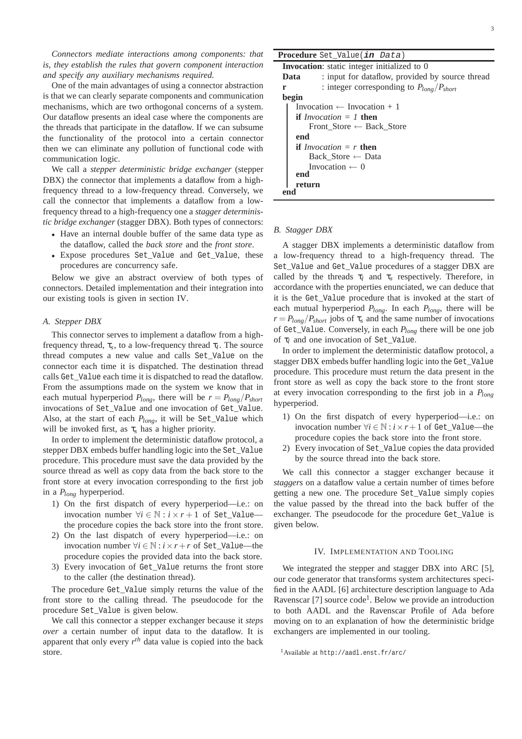*Connectors mediate interactions among components: that is, they establish the rules that govern component interaction and specify any auxiliary mechanisms required.*

One of the main advantages of using a connector abstraction is that we can clearly separate components and communication mechanisms, which are two orthogonal concerns of a system. Our dataflow presents an ideal case where the components are the threads that participate in the dataflow. If we can subsume the functionality of the protocol into a certain connector then we can eliminate any pollution of functional code with communication logic.

We call a *stepper deterministic bridge exchanger* (stepper DBX) the connector that implements a dataflow from a highfrequency thread to a low-frequency thread. Conversely, we call the connector that implements a dataflow from a lowfrequency thread to a high-frequency one a *stagger deterministic bridge exchanger* (stagger DBX). Both types of connectors:

- Have an internal double buffer of the same data type as the dataflow, called the *back store* and the *front store*.
- Expose procedures Set Value and Get Value, these procedures are concurrency safe.

Below we give an abstract overview of both types of connectors. Detailed implementation and their integration into our existing tools is given in section IV.

#### *A. Stepper DBX*

This connector serves to implement a dataflow from a highfrequency thread, τ*<sup>s</sup>* , to a low-frequency thread τ*<sup>l</sup>* . The source thread computes a new value and calls Set\_Value on the connector each time it is dispatched. The destination thread calls Get\_Value each time it is dispatched to read the dataflow. From the assumptions made on the system we know that in each mutual hyperperiod  $P_{long}$ , there will be  $r = P_{long}/P_{short}$ invocations of Set\_Value and one invocation of Get\_Value. Also, at the start of each *Plong*, it will be Set\_Value which will be invoked first, as  $\tau_s$  has a higher priority.

In order to implement the deterministic dataflow protocol, a stepper DBX embeds buffer handling logic into the Set\_Value procedure. This procedure must save the data provided by the source thread as well as copy data from the back store to the front store at every invocation corresponding to the first job in a *Plong* hyperperiod.

- 1) On the first dispatch of every hyperperiod—i.e.: on invocation number  $\forall i \in \mathbb{N} : i \times r + 1$  of Set Valuethe procedure copies the back store into the front store.
- 2) On the last dispatch of every hyperperiod—i.e.: on invocation number ∀*i* ∈ N : *i*×*r*+*r* of Set\_Value—the procedure copies the provided data into the back store.
- 3) Every invocation of Get\_Value returns the front store to the caller (the destination thread).

The procedure Get\_Value simply returns the value of the front store to the calling thread. The pseudocode for the procedure Set\_Value is given below.

We call this connector a stepper exchanger because it *steps over* a certain number of input data to the dataflow. It is apparent that only every  $r^{th}$  data value is copied into the back store.

## **Procedure** Set\_Value(**in** Data) **Invocation**: static integer initialized to 0 **Data** : input for dataflow, provided by source thread **r** : integer corresponding to *Plong*/*Pshort* **begin** Invocation  $\leftarrow$  Invocation + 1 **if** *Invocation = 1* **then**

Front\_Store ← Back\_Store **end if** *Invocation = r* **then** Back\_Store ← Data Invocation  $\leftarrow$  0 **end**

#### *B. Stagger DBX*

**return**

**end**

A stagger DBX implements a deterministic dataflow from a low-frequency thread to a high-frequency thread. The Set\_Value and Get\_Value procedures of a stagger DBX are called by the threads  $\tau_l$  and  $\tau_s$  respectively. Therefore, in accordance with the properties enunciated, we can deduce that it is the Get\_Value procedure that is invoked at the start of each mutual hyperperiod *Plong*. In each *Plong*, there will be  $r = P_{long}/P_{short}$  jobs of  $\tau_s$  and the same number of invocations of Get\_Value. Conversely, in each *Plong* there will be one job of τ*<sup>l</sup>* and one invocation of Set\_Value.

In order to implement the deterministic dataflow protocol, a stagger DBX embeds buffer handling logic into the Get\_Value procedure. This procedure must return the data present in the front store as well as copy the back store to the front store at every invocation corresponding to the first job in a *Plong* hyperperiod.

- 1) On the first dispatch of every hyperperiod—i.e.: on invocation number ∀*i* ∈ N : *i*×*r*+1 of Get\_Value—the procedure copies the back store into the front store.
- 2) Every invocation of Set\_Value copies the data provided by the source thread into the back store.

We call this connector a stagger exchanger because it *staggers* on a dataflow value a certain number of times before getting a new one. The procedure Set\_Value simply copies the value passed by the thread into the back buffer of the exchanger. The pseudocode for the procedure Get\_Value is given below.

#### IV. IMPLEMENTATION AND TOOLING

We integrated the stepper and stagger DBX into ARC [5], our code generator that transforms system architectures specified in the AADL [6] architecture description language to Ada Ravenscar [7] source code<sup>1</sup>. Below we provide an introduction to both AADL and the Ravenscar Profile of Ada before moving on to an explanation of how the deterministic bridge exchangers are implemented in our tooling.

<sup>1</sup>Available at http://aadl.enst.fr/arc/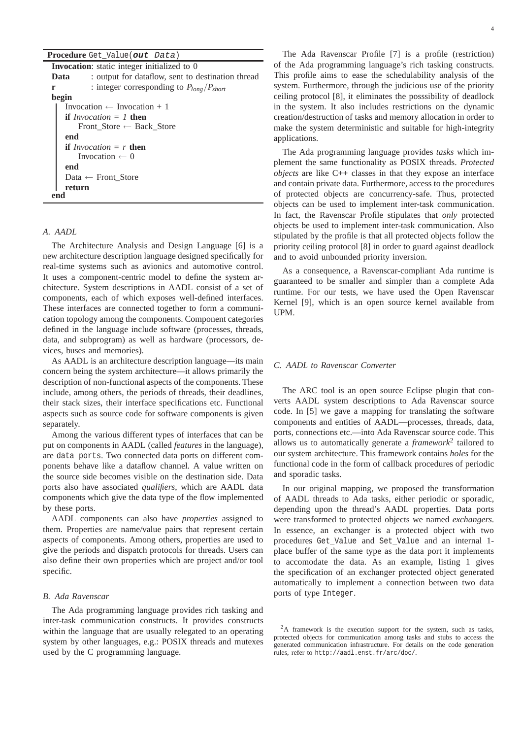| Procedure Get_Value(out Data) |  |  |  |  |
|-------------------------------|--|--|--|--|
|-------------------------------|--|--|--|--|

| <b>Invocation</b> : static integer initialized to 0       |  |  |  |  |
|-----------------------------------------------------------|--|--|--|--|
| : output for dataflow, sent to destination thread<br>Data |  |  |  |  |
| : integer corresponding to $P_{long}/P_{short}$<br>r      |  |  |  |  |
| begin                                                     |  |  |  |  |
| Invocation $\leftarrow$ Invocation + 1                    |  |  |  |  |
| if <i>Invocation</i> $= 1$ then                           |  |  |  |  |
| Front Store $\leftarrow$ Back Store                       |  |  |  |  |
| end                                                       |  |  |  |  |
| <b>if</b> <i>Invocation</i> = $r$ <b>then</b>             |  |  |  |  |
| Invocation $\leftarrow$ 0                                 |  |  |  |  |
| end                                                       |  |  |  |  |
| Data $\leftarrow$ Front_Store                             |  |  |  |  |
| return                                                    |  |  |  |  |
|                                                           |  |  |  |  |

#### *A. AADL*

The Architecture Analysis and Design Language [6] is a new architecture description language designed specifically for real-time systems such as avionics and automotive control. It uses a component-centric model to define the system architecture. System descriptions in AADL consist of a set of components, each of which exposes well-defined interfaces. These interfaces are connected together to form a communication topology among the components. Component categories defined in the language include software (processes, threads, data, and subprogram) as well as hardware (processors, devices, buses and memories).

As AADL is an architecture description language—its main concern being the system architecture—it allows primarily the description of non-functional aspects of the components. These include, among others, the periods of threads, their deadlines, their stack sizes, their interface specifications etc. Functional aspects such as source code for software components is given separately.

Among the various different types of interfaces that can be put on components in AADL (called *features* in the language), are data ports. Two connected data ports on different components behave like a dataflow channel. A value written on the source side becomes visible on the destination side. Data ports also have associated *qualifiers*, which are AADL data components which give the data type of the flow implemented by these ports.

AADL components can also have *properties* assigned to them. Properties are name/value pairs that represent certain aspects of components. Among others, properties are used to give the periods and dispatch protocols for threads. Users can also define their own properties which are project and/or tool specific.

#### *B. Ada Ravenscar*

The Ada programming language provides rich tasking and inter-task communication constructs. It provides constructs within the language that are usually relegated to an operating system by other languages, e.g.: POSIX threads and mutexes used by the C programming language.

The Ada Ravenscar Profile [7] is a profile (restriction) of the Ada programming language's rich tasking constructs. This profile aims to ease the schedulability analysis of the system. Furthermore, through the judicious use of the priority ceiling protocol [8], it eliminates the posssibility of deadlock in the system. It also includes restrictions on the dynamic creation/destruction of tasks and memory allocation in order to make the system deterministic and suitable for high-integrity applications.

The Ada programming language provides *tasks* which implement the same functionality as POSIX threads. *Protected objects* are like C++ classes in that they expose an interface and contain private data. Furthermore, access to the procedures of protected objects are concurrency-safe. Thus, protected objects can be used to implement inter-task communication. In fact, the Ravenscar Profile stipulates that *only* protected objects be used to implement inter-task communication. Also stipulated by the profile is that all protected objects follow the priority ceiling protocol [8] in order to guard against deadlock and to avoid unbounded priority inversion.

As a consequence, a Ravenscar-compliant Ada runtime is guaranteed to be smaller and simpler than a complete Ada runtime. For our tests, we have used the Open Ravenscar Kernel [9], which is an open source kernel available from UPM.

#### *C. AADL to Ravenscar Converter*

The ARC tool is an open source Eclipse plugin that converts AADL system descriptions to Ada Ravenscar source code. In [5] we gave a mapping for translating the software components and entities of AADL—processes, threads, data, ports, connections etc.—into Ada Ravenscar source code. This allows us to automatically generate a *framework*<sup>2</sup> tailored to our system architecture. This framework contains *holes* for the functional code in the form of callback procedures of periodic and sporadic tasks.

In our original mapping, we proposed the transformation of AADL threads to Ada tasks, either periodic or sporadic, depending upon the thread's AADL properties. Data ports were transformed to protected objects we named *exchangers*. In essence, an exchanger is a protected object with two procedures Get\_Value and Set\_Value and an internal 1 place buffer of the same type as the data port it implements to accomodate the data. As an example, listing 1 gives the specification of an exchanger protected object generated automatically to implement a connection between two data ports of type Integer.

<sup>&</sup>lt;sup>2</sup>A framework is the execution support for the system, such as tasks, protected objects for communication among tasks and stubs to access the generated communication infrastructure. For details on the code generation rules, refer to http://aadl.enst.fr/arc/doc/.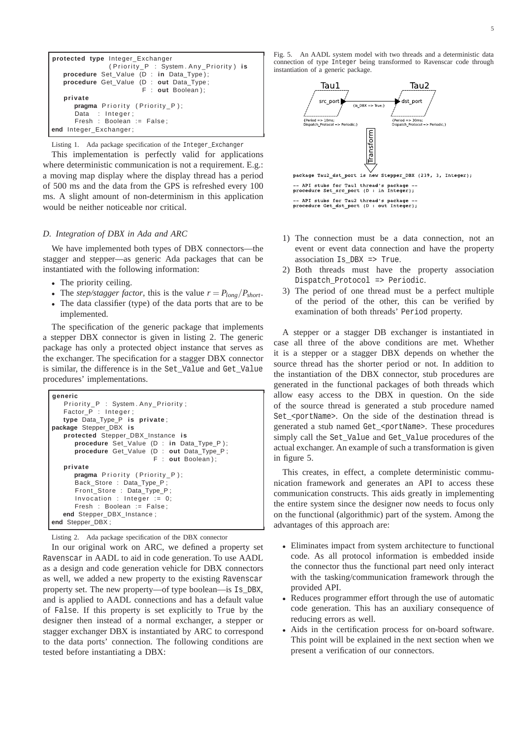```
protected type Integer_Exchanger
                ( Priority_P : System . Any_Priority ) is
   procedure Set Value (D : in Data Type);
   procedure Get_Value (D : out Data_Type ;
                         F : out Boolean ) ;
   private
      pragma Priority (Priority_P);
      Data : Integer :
      Fresh : Boolean := False;
end Integer_Exchanger ;
```
Listing 1. Ada package specification of the Integer\_Exchanger

This implementation is perfectly valid for applications where deterministic communication is not a requirement. E.g.: a moving map display where the display thread has a period of 500 ms and the data from the GPS is refreshed every 100 ms. A slight amount of non-determinism in this application would be neither noticeable nor critical.

#### *D. Integration of DBX in Ada and ARC*

We have implemented both types of DBX connectors—the stagger and stepper—as generic Ada packages that can be instantiated with the following information:

- The priority ceiling.
- The *step/stagger factor*, this is the value  $r = P_{long}/P_{short}$ .
- The data classifier (type) of the data ports that are to be implemented.

The specification of the generic package that implements a stepper DBX connector is given in listing 2. The generic package has only a protected object instance that serves as the exchanger. The specification for a stagger DBX connector is similar, the difference is in the Set\_Value and Get\_Value procedures' implementations.

```
generic
   Priority_P : System. Any_Priority;
   Factor \overline{P} : Integer :
   type Data_Type_P is private ;
package Stepper_DBX is
   protected Stepper_DBX_Instance is
      procedure Set_Value (D : in Data_Type_P ) ;
      procedure Get_Value (D : out Data_Type_P ;
                             F : out Boolean ) ;
   private
      pragma Priority (Priority_P);
      Back_Store : Data_Type_P ;
      Front_Store : Data_Type_P ;
      Invocation : Integer := 0;
      Fresh : Boolean := False:
   end Stepper_DBX_Instance ;
end Stepper_DBX ;
```
Listing 2. Ada package specification of the DBX connector

In our original work on ARC, we defined a property set Ravenscar in AADL to aid in code generation. To use AADL as a design and code generation vehicle for DBX connectors as well, we added a new property to the existing Ravenscar property set. The new property—of type boolean—is Is\_DBX, and is applied to AADL connections and has a default value of False. If this property is set explicitly to True by the designer then instead of a normal exchanger, a stepper or stagger exchanger DBX is instantiated by ARC to correspond to the data ports' connection. The following conditions are tested before instantiating a DBX:

Fig. 5. An AADL system model with two threads and a deterministic data connection of type Integer being transformed to Ravenscar code through instantiation of a generic package.



- 1) The connection must be a data connection, not an event or event data connection and have the property association Is\_DBX => True.
- 2) Both threads must have the property association Dispatch\_Protocol => Periodic.
- 3) The period of one thread must be a perfect multiple of the period of the other, this can be verified by examination of both threads' Period property.

A stepper or a stagger DB exchanger is instantiated in case all three of the above conditions are met. Whether it is a stepper or a stagger DBX depends on whether the source thread has the shorter period or not. In addition to the instantiation of the DBX connector, stub procedures are generated in the functional packages of both threads which allow easy access to the DBX in question. On the side of the source thread is generated a stub procedure named Set <portName>. On the side of the destination thread is generated a stub named Get\_<portName>. These procedures simply call the Set\_Value and Get\_Value procedures of the actual exchanger. An example of such a transformation is given in figure 5.

This creates, in effect, a complete deterministic communication framework and generates an API to access these communication constructs. This aids greatly in implementing the entire system since the designer now needs to focus only on the functional (algorithmic) part of the system. Among the advantages of this approach are:

- Eliminates impact from system architecture to functional code. As all protocol information is embedded inside the connector thus the functional part need only interact with the tasking/communication framework through the provided API.
- Reduces programmer effort through the use of automatic code generation. This has an auxiliary consequence of reducing errors as well.
- Aids in the certification process for on-board software. This point will be explained in the next section when we present a verification of our connectors.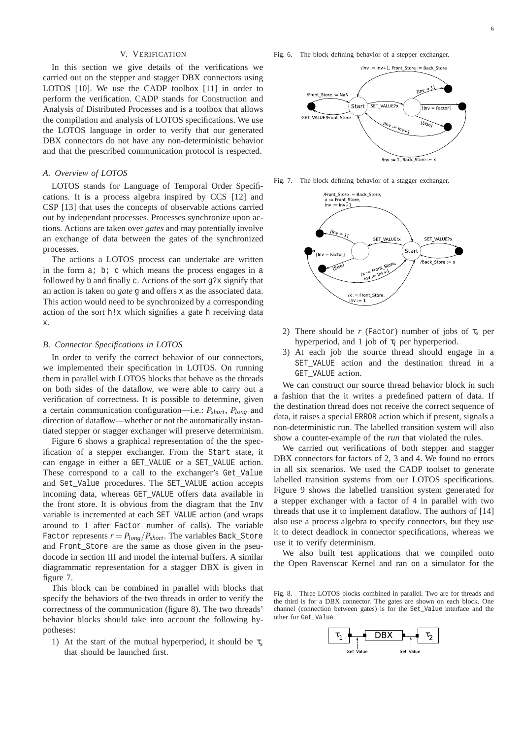#### V. VERIFICATION

In this section we give details of the verifications we carried out on the stepper and stagger DBX connectors using LOTOS [10]. We use the CADP toolbox [11] in order to perform the verification. CADP stands for Construction and Analysis of Distributed Processes and is a toolbox that allows the compilation and analysis of LOTOS specifications. We use the LOTOS language in order to verify that our generated DBX connectors do not have any non-deterministic behavior and that the prescribed communication protocol is respected.

#### *A. Overview of LOTOS*

LOTOS stands for Language of Temporal Order Specifications. It is a process algebra inspired by CCS [12] and CSP [13] that uses the concepts of observable actions carried out by independant processes. Processes synchronize upon actions. Actions are taken over *gates* and may potentially involve an exchange of data between the gates of the synchronized processes.

The actions a LOTOS process can undertake are written in the form a; b; c which means the process engages in a followed by b and finally c. Actions of the sort g?x signify that an action is taken on *gate* g and offers x as the associated data. This action would need to be synchronized by a corresponding action of the sort h!x which signifies a gate h receiving data x.

#### *B. Connector Specifications in LOTOS*

In order to verify the correct behavior of our connectors, we implemented their specification in LOTOS. On running them in parallel with LOTOS blocks that behave as the threads on both sides of the dataflow, we were able to carry out a verification of correctness. It is possible to determine, given a certain communication configuration—i.e.: *Pshort*, *Plong* and direction of dataflow—whether or not the automatically instantiated stepper or stagger exchanger will preserve determinism.

Figure 6 shows a graphical representation of the the specification of a stepper exchanger. From the Start state, it can engage in either a GET\_VALUE or a SET\_VALUE action. These correspond to a call to the exchanger's Get\_Value and Set\_Value procedures. The SET\_VALUE action accepts incoming data, whereas GET\_VALUE offers data available in the front store. It is obvious from the diagram that the Inv variable is incremented at each SET\_VALUE action (and wraps around to 1 after Factor number of calls). The variable Factor represents  $r = P_{long}/P_{short}$ . The variables Back\_Store and Front Store are the same as those given in the pseudocode in section III and model the internal buffers. A similar diagrammatic representation for a stagger DBX is given in figure 7.

This block can be combined in parallel with blocks that specify the behaviors of the two threads in order to verify the correctness of the communication (figure 8). The two threads' behavior blocks should take into account the following hypotheses:

1) At the start of the mutual hyperperiod, it should be τ*<sup>s</sup>* that should be launched first.

Fig. 6. The block defining behavior of a stepper exchanger.



Fig. 7. The block defining behavior of a stagger exchanger.



- 2) There should be *r* (Factor) number of jobs of  $\tau_s$  per hyperperiod, and 1 job of  $\tau_l$  per hyperperiod.
- 3) At each job the source thread should engage in a SET\_VALUE action and the destination thread in a GET VALUE action.

We can construct our source thread behavior block in such a fashion that the it writes a predefined pattern of data. If the destination thread does not receive the correct sequence of data, it raises a special ERROR action which if present, signals a non-deterministic run. The labelled transition system will also show a counter-example of the *run* that violated the rules.

We carried out verifications of both stepper and stagger DBX connectors for factors of 2, 3 and 4. We found no errors in all six scenarios. We used the CADP toolset to generate labelled transition systems from our LOTOS specifications. Figure 9 shows the labelled transition system generated for a stepper exchanger with a factor of 4 in parallel with two threads that use it to implement dataflow. The authors of [14] also use a process algebra to specify connectors, but they use it to detect deadlock in connector specifications, whereas we use it to verify determinism.

We also built test applications that we compiled onto the Open Ravenscar Kernel and ran on a simulator for the

Fig. 8. Three LOTOS blocks combined in parallel. Two are for threads and the third is for a DBX connector. The gates are shown on each block. One channel (connection between gates) is for the Set\_Value interface and the other for Get\_Value.

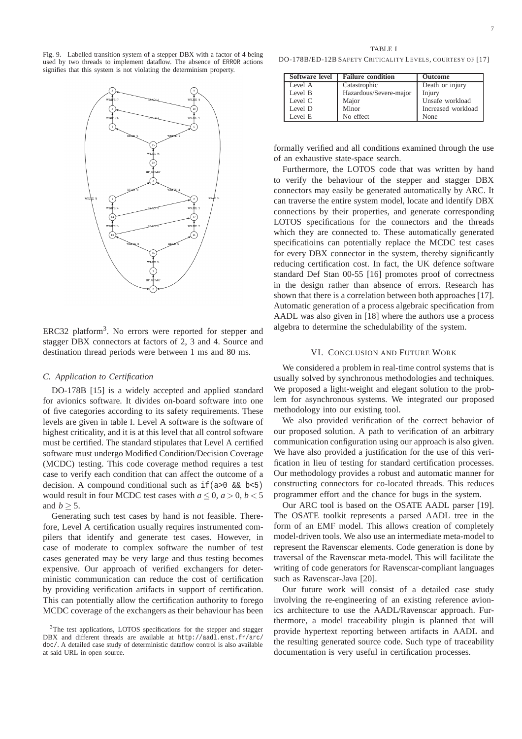Fig. 9. Labelled transition system of a stepper DBX with a factor of 4 being used by two threads to implement dataflow. The absence of ERROR actions signifies that this system is not violating the determinism property.



ERC32 platform<sup>3</sup>. No errors were reported for stepper and stagger DBX connectors at factors of 2, 3 and 4. Source and destination thread periods were between 1 ms and 80 ms.

#### *C. Application to Certification*

DO-178B [15] is a widely accepted and applied standard for avionics software. It divides on-board software into one of five categories according to its safety requirements. These levels are given in table I. Level A software is the software of highest criticality, and it is at this level that all control software must be certified. The standard stipulates that Level A certified software must undergo Modified Condition/Decision Coverage (MCDC) testing. This code coverage method requires a test case to verify each condition that can affect the outcome of a decision. A compound conditional such as  $if(a>0 \& b<5)$ would result in four MCDC test cases with  $a \leq 0$ ,  $a > 0$ ,  $b < 5$ and  $b > 5$ .

Generating such test cases by hand is not feasible. Therefore, Level A certification usually requires instrumented compilers that identify and generate test cases. However, in case of moderate to complex software the number of test cases generated may be very large and thus testing becomes expensive. Our approach of verified exchangers for deterministic communication can reduce the cost of certification by providing verification artifacts in support of certification. This can potentially allow the certification authority to forego MCDC coverage of the exchangers as their behaviour has been

DO-178B/ED-12B SAFETY CRITICALITY LEVELS, COURTESY OF [17]

| Software level | <b>Failure condition</b> | <b>Outcome</b>     |  |
|----------------|--------------------------|--------------------|--|
| Level A        | Catastrophic             | Death or injury    |  |
| Level B        | Hazardous/Severe-major   | Injury             |  |
| Level C        | Major                    | Unsafe workload    |  |
| Level D        | Minor                    | Increased workload |  |
| Level E        | No effect                | None               |  |

formally verified and all conditions examined through the use of an exhaustive state-space search.

Furthermore, the LOTOS code that was written by hand to verify the behaviour of the stepper and stagger DBX connectors may easily be generated automatically by ARC. It can traverse the entire system model, locate and identify DBX connections by their properties, and generate corresponding LOTOS specifications for the connectors and the threads which they are connected to. These automatically generated specificatioins can potentially replace the MCDC test cases for every DBX connector in the system, thereby significantly reducing certification cost. In fact, the UK defence software standard Def Stan 00-55 [16] promotes proof of correctness in the design rather than absence of errors. Research has shown that there is a correlation between both approaches [17]. Automatic generation of a process algebraic specification from AADL was also given in [18] where the authors use a process algebra to determine the schedulability of the system.

### VI. CONCLUSION AND FUTURE WORK

We considered a problem in real-time control systems that is usually solved by synchronous methodologies and techniques. We proposed a light-weight and elegant solution to the problem for asynchronous systems. We integrated our proposed methodology into our existing tool.

We also provided verification of the correct behavior of our proposed solution. A path to verification of an arbitrary communication configuration using our approach is also given. We have also provided a justification for the use of this verification in lieu of testing for standard certification processes. Our methodology provides a robust and automatic manner for constructing connectors for co-located threads. This reduces programmer effort and the chance for bugs in the system.

Our ARC tool is based on the OSATE AADL parser [19]. The OSATE toolkit represents a parsed AADL tree in the form of an EMF model. This allows creation of completely model-driven tools. We also use an intermediate meta-model to represent the Ravenscar elements. Code generation is done by traversal of the Ravenscar meta-model. This will facilitate the writing of code generators for Ravenscar-compliant languages such as Ravenscar-Java [20].

Our future work will consist of a detailed case study involving the re-engineering of an existing reference avionics architecture to use the AADL/Ravenscar approach. Furthermore, a model traceability plugin is planned that will provide hypertext reporting between artifacts in AADL and the resulting generated source code. Such type of traceability documentation is very useful in certification processes.

<sup>&</sup>lt;sup>3</sup>The test applications, LOTOS specifications for the stepper and stagger DBX and different threads are available at http://aadl.enst.fr/arc/ doc/. A detailed case study of deterministic dataflow control is also available at said URL in open source.